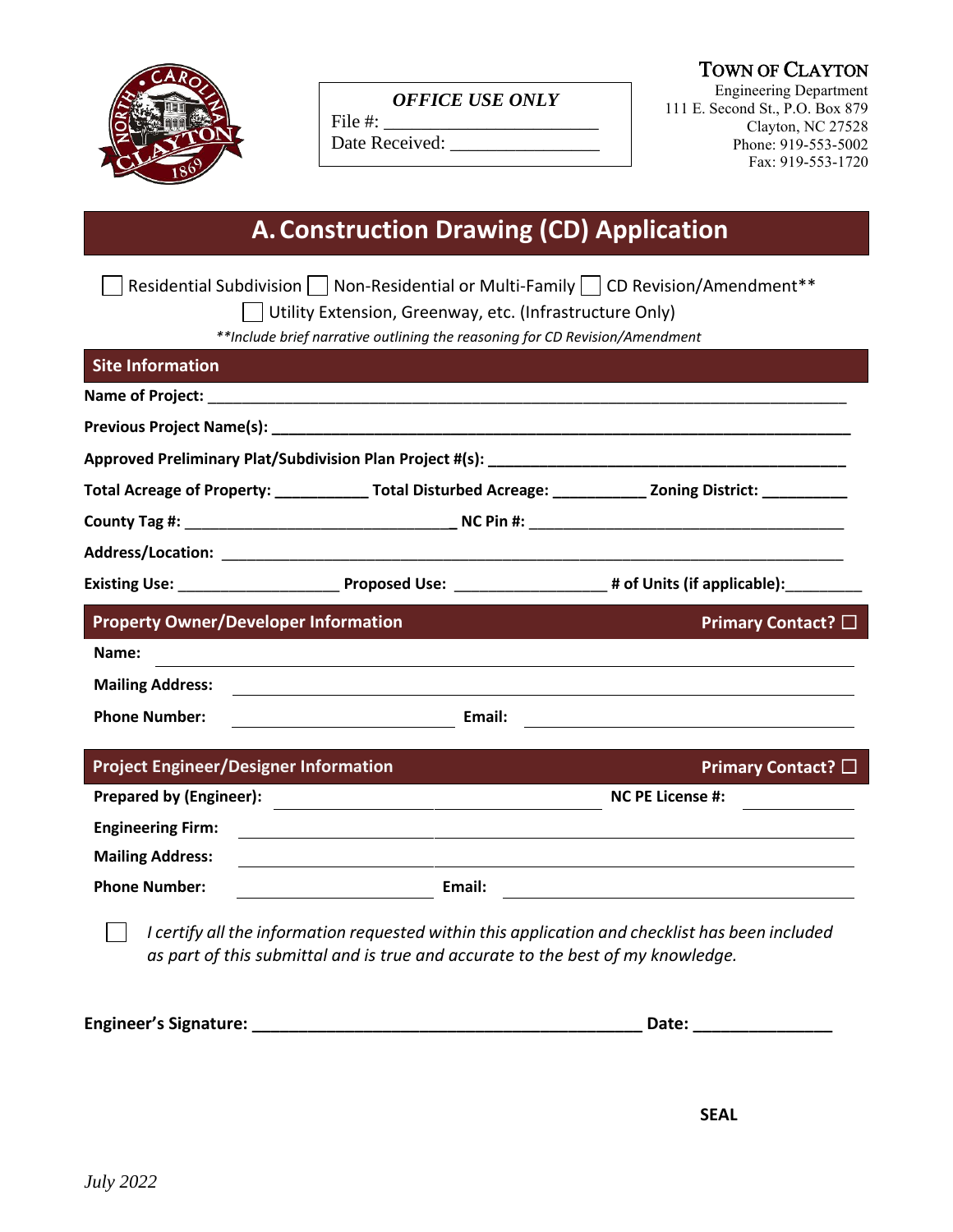

*OFFICE USE ONLY*

File  $\#$ :

Date Received: \_\_\_\_\_\_\_\_\_\_\_\_\_\_\_\_

TOWN OF CLAYTON

Engineering Department 111 E. Second St., P.O. Box 879 Clayton, NC 27528 Phone: 919-553-5002 Fax: 919-553-1720

# **A.Construction Drawing (CD) Application**

|                                              | **Include brief narrative outlining the reasoning for CD Revision/Amendment                                          |                                                                                                 |
|----------------------------------------------|----------------------------------------------------------------------------------------------------------------------|-------------------------------------------------------------------------------------------------|
| <b>Site Information</b>                      |                                                                                                                      |                                                                                                 |
|                                              |                                                                                                                      |                                                                                                 |
|                                              |                                                                                                                      |                                                                                                 |
|                                              |                                                                                                                      |                                                                                                 |
|                                              | Total Acreage of Property: ______________Total Disturbed Acreage: ______________ Zoning District: ____________       |                                                                                                 |
|                                              |                                                                                                                      |                                                                                                 |
|                                              |                                                                                                                      |                                                                                                 |
|                                              |                                                                                                                      |                                                                                                 |
| <b>Property Owner/Developer Information</b>  |                                                                                                                      | Primary Contact? □                                                                              |
| Name:                                        |                                                                                                                      |                                                                                                 |
| <b>Mailing Address:</b>                      |                                                                                                                      |                                                                                                 |
| <b>Phone Number:</b>                         | Email:                                                                                                               |                                                                                                 |
| <b>Project Engineer/Designer Information</b> |                                                                                                                      | Primary Contact? $\square$                                                                      |
| <b>Prepared by (Engineer):</b>               | <u> 1989 - Johann Stoff, fransk kongresu og den forske forskellige og den forskellige og den forskellige og den </u> | <b>NC PE License #:</b>                                                                         |
| <b>Engineering Firm:</b>                     |                                                                                                                      |                                                                                                 |
| <b>Mailing Address:</b>                      |                                                                                                                      |                                                                                                 |
| <b>Phone Number:</b>                         | <b>Email:</b> Email:                                                                                                 |                                                                                                 |
|                                              |                                                                                                                      | I certify all the information requested within this application and checklist has been included |

**Engineer's Signature: \_\_\_\_\_\_\_\_\_\_\_\_\_\_\_\_\_\_\_\_\_\_\_\_\_\_\_\_\_\_\_\_\_\_\_\_\_\_\_\_\_\_ Date: \_\_\_\_\_\_\_\_\_\_\_\_\_\_\_**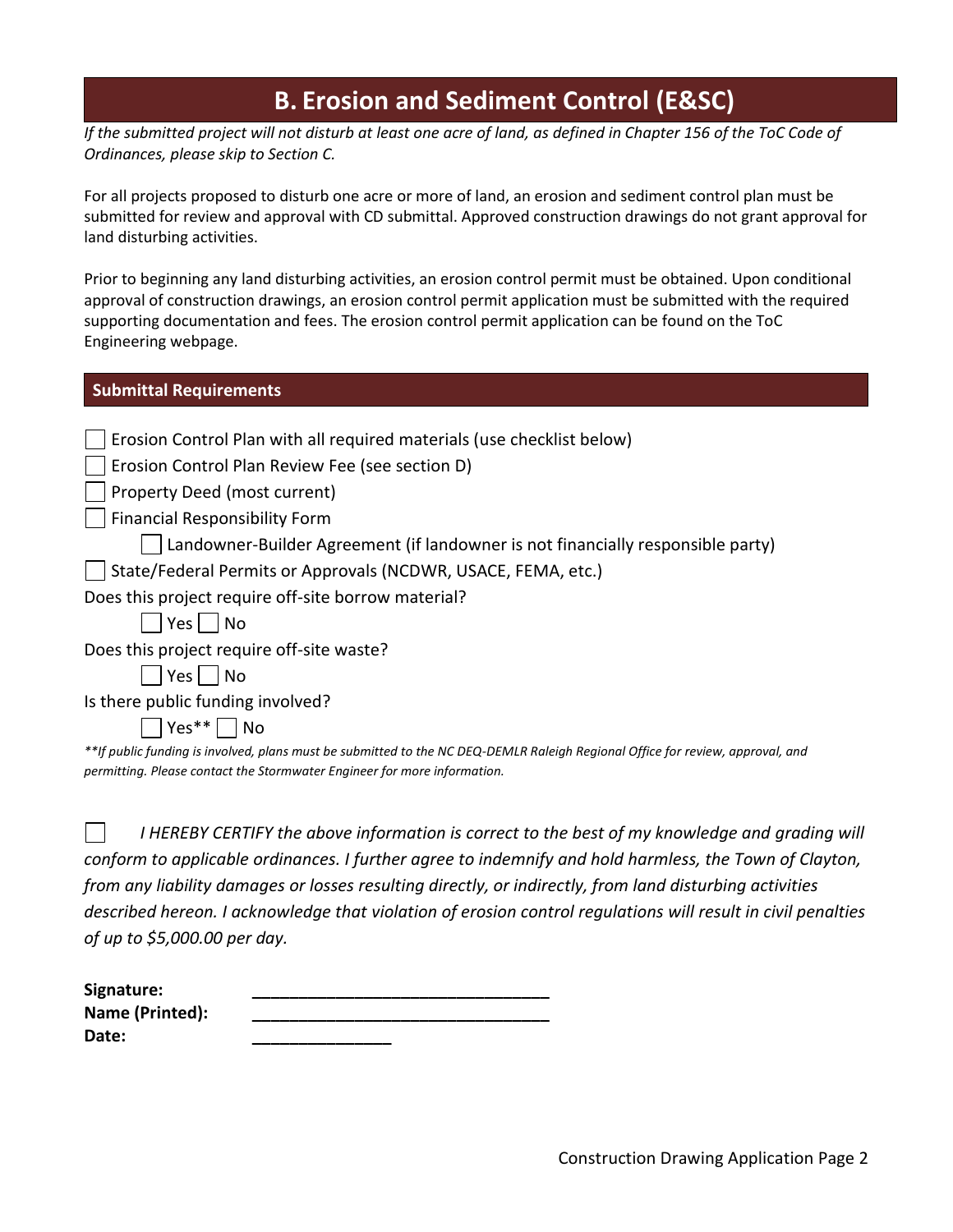## **B. Erosion and Sediment Control (E&SC)**

*If the submitted project will not disturb at least one acre of land, as defined in Chapter 156 of the ToC Code of Ordinances, please skip to Section C.*

For all projects proposed to disturb one acre or more of land, an erosion and sediment control plan must be submitted for review and approval with CD submittal. Approved construction drawings do not grant approval for land disturbing activities.

Prior to beginning any land disturbing activities, an erosion control permit must be obtained. Upon conditional approval of construction drawings, an erosion control permit application must be submitted with the required supporting documentation and fees. The erosion control permit application can be found on the ToC Engineering webpage.

### **Submittal Requirements**

| Erosion Control Plan with all required materials (use checklist below)                                                         |
|--------------------------------------------------------------------------------------------------------------------------------|
| Erosion Control Plan Review Fee (see section D)                                                                                |
| Property Deed (most current)                                                                                                   |
| <b>Financial Responsibility Form</b>                                                                                           |
| Landowner-Builder Agreement (if landowner is not financially responsible party)                                                |
| State/Federal Permits or Approvals (NCDWR, USACE, FEMA, etc.)                                                                  |
| Does this project require off-site borrow material?                                                                            |
| $Yes \mid \neg No$                                                                                                             |
| Does this project require off-site waste?                                                                                      |
| $Yes \mid \text{No}$                                                                                                           |
| Is there public funding involved?                                                                                              |
| $ Yes** $   No                                                                                                                 |
| **If public funding is involved, plans must be submitted to the NC DEQ-DEMLR Raleigh Regional Office for review, approval, and |
| permitting. Please contact the Stormwater Engineer for more information.                                                       |

 $\mathbf{I}$ *I HEREBY CERTIFY the above information is correct to the best of my knowledge and grading will conform to applicable ordinances. I further agree to indemnify and hold harmless, the Town of Clayton, from any liability damages or losses resulting directly, or indirectly, from land disturbing activities described hereon. I acknowledge that violation of erosion control regulations will result in civil penalties of up to \$5,000.00 per day.*

| Signature:      |  |
|-----------------|--|
| Name (Printed): |  |
| Date:           |  |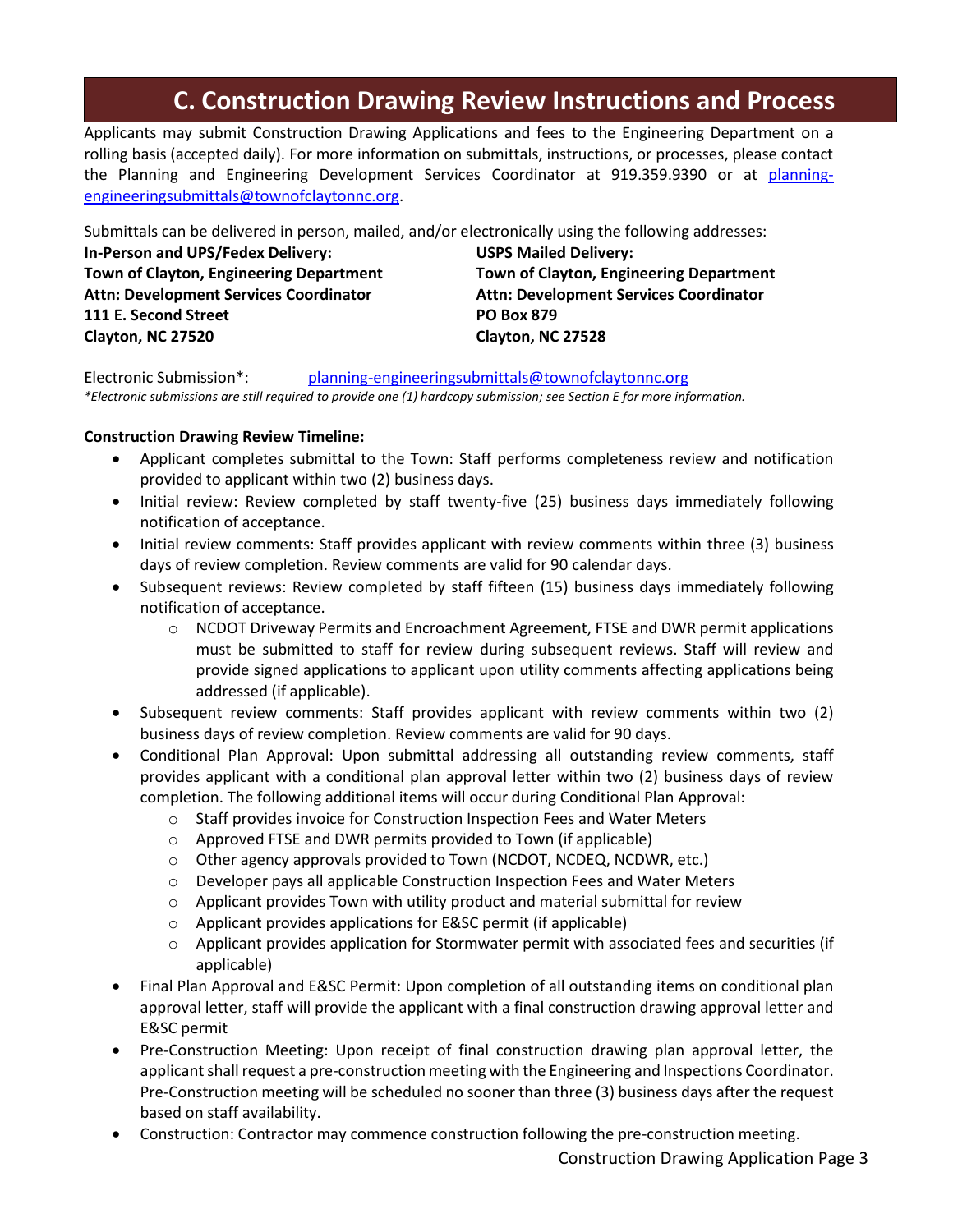# **C. Construction Drawing Review Instructions and Process**

Applicants may submit Construction Drawing Applications and fees to the Engineering Department on a rolling basis (accepted daily). For more information on submittals, instructions, or processes, please contact the Planning and Engineering Development Services Coordinator at 919.359.9390 or at [planning](mailto:planning-engineeringsubmittals@townofclaytonnc.org)[engineeringsubmittals@townofclaytonnc.org.](mailto:planning-engineeringsubmittals@townofclaytonnc.org)

Submittals can be delivered in person, mailed, and/or electronically using the following addresses:

**In-Person and UPS/Fedex Delivery: USPS Mailed Delivery: Town of Clayton, Engineering Department Town of Clayton, Engineering Department Attn: Development Services Coordinator Attn: Development Services Coordinator 111 E. Second Street PO Box 879 Clayton, NC 27520 Clayton, NC 27528**

Electronic Submission\*: [planning-engineeringsubmittals@townofclaytonnc.org](mailto:planning-engineeringsubmittals@townofclaytonnc.org) *\*Electronic submissions are still required to provide one (1) hardcopy submission; see Section E for more information.*

### **Construction Drawing Review Timeline:**

- Applicant completes submittal to the Town: Staff performs completeness review and notification provided to applicant within two (2) business days.
- Initial review: Review completed by staff twenty-five (25) business days immediately following notification of acceptance.
- Initial review comments: Staff provides applicant with review comments within three (3) business days of review completion. Review comments are valid for 90 calendar days.
- Subsequent reviews: Review completed by staff fifteen (15) business days immediately following notification of acceptance.
	- $\circ$  NCDOT Driveway Permits and Encroachment Agreement, FTSE and DWR permit applications must be submitted to staff for review during subsequent reviews. Staff will review and provide signed applications to applicant upon utility comments affecting applications being addressed (if applicable).
- Subsequent review comments: Staff provides applicant with review comments within two (2) business days of review completion. Review comments are valid for 90 days.
- Conditional Plan Approval: Upon submittal addressing all outstanding review comments, staff provides applicant with a conditional plan approval letter within two (2) business days of review completion. The following additional items will occur during Conditional Plan Approval:
	- o Staff provides invoice for Construction Inspection Fees and Water Meters
	- o Approved FTSE and DWR permits provided to Town (if applicable)
	- o Other agency approvals provided to Town (NCDOT, NCDEQ, NCDWR, etc.)
	- o Developer pays all applicable Construction Inspection Fees and Water Meters
	- $\circ$  Applicant provides Town with utility product and material submittal for review
	- o Applicant provides applications for E&SC permit (if applicable)
	- o Applicant provides application for Stormwater permit with associated fees and securities (if applicable)
- Final Plan Approval and E&SC Permit: Upon completion of all outstanding items on conditional plan approval letter, staff will provide the applicant with a final construction drawing approval letter and E&SC permit
- Pre-Construction Meeting: Upon receipt of final construction drawing plan approval letter, the applicant shall request a pre-construction meeting with the Engineering and Inspections Coordinator. Pre-Construction meeting will be scheduled no sooner than three (3) business days after the request based on staff availability.
- Construction: Contractor may commence construction following the pre-construction meeting.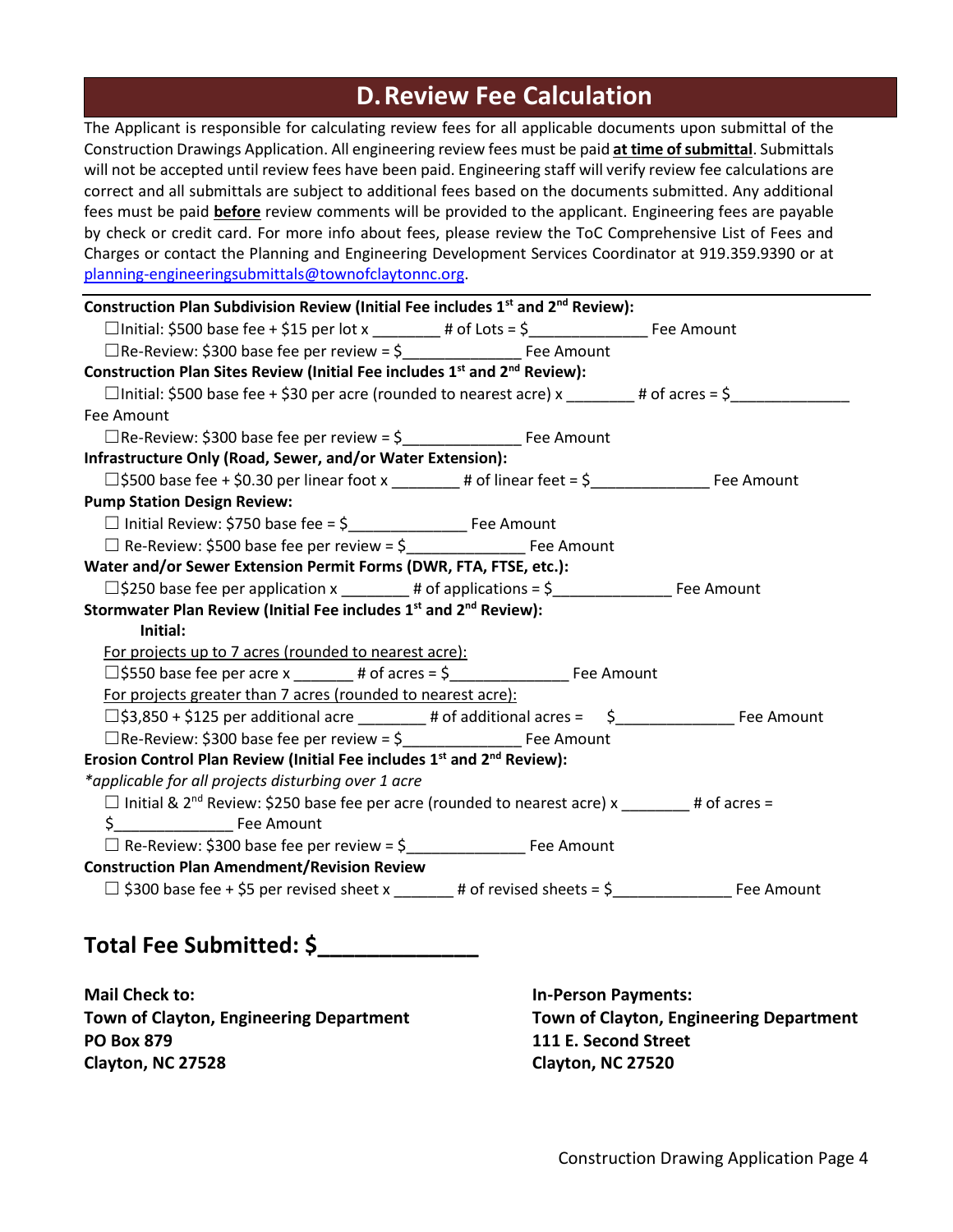## **D.Review Fee Calculation**

The Applicant is responsible for calculating review fees for all applicable documents upon submittal of the Construction Drawings Application. All engineering review fees must be paid **at time of submittal**. Submittals will not be accepted until review fees have been paid. Engineering staff will verify review fee calculations are correct and all submittals are subject to additional fees based on the documents submitted. Any additional fees must be paid **before** review comments will be provided to the applicant. Engineering fees are payable by check or credit card. For more info about fees, please review the ToC Comprehensive List of Fees and Charges or contact the Planning and Engineering Development Services Coordinator at 919.359.9390 or at [planning-engineeringsubmittals@townofclaytonnc.org.](mailto:planning-engineeringsubmittals@townofclaytonnc.org)

| Construction Plan Subdivision Review (Initial Fee includes 1 <sup>st</sup> and 2 <sup>nd</sup> Review):           |  |
|-------------------------------------------------------------------------------------------------------------------|--|
|                                                                                                                   |  |
| □Re-Review: \$300 base fee per review = \$<br>□Re-Review: \$300 base fee per review = \$<br>□                     |  |
| Construction Plan Sites Review (Initial Fee includes 1 <sup>st</sup> and 2 <sup>nd</sup> Review):                 |  |
| $\Box$ Initial: \$500 base fee + \$30 per acre (rounded to nearest acre) x _______# of acres = \$____________     |  |
| Fee Amount                                                                                                        |  |
|                                                                                                                   |  |
| Infrastructure Only (Road, Sewer, and/or Water Extension):                                                        |  |
|                                                                                                                   |  |
| <b>Pump Station Design Review:</b>                                                                                |  |
|                                                                                                                   |  |
|                                                                                                                   |  |
| Water and/or Sewer Extension Permit Forms (DWR, FTA, FTSE, etc.):                                                 |  |
|                                                                                                                   |  |
| Stormwater Plan Review (Initial Fee includes 1 <sup>st</sup> and 2 <sup>nd</sup> Review):                         |  |
| Initial:                                                                                                          |  |
| For projects up to 7 acres (rounded to nearest acre):                                                             |  |
|                                                                                                                   |  |
| For projects greater than 7 acres (rounded to nearest acre):                                                      |  |
|                                                                                                                   |  |
|                                                                                                                   |  |
| Erosion Control Plan Review (Initial Fee includes 1 <sup>st</sup> and 2 <sup>nd</sup> Review):                    |  |
| *applicable for all projects disturbing over 1 acre                                                               |  |
| $\Box$ Initial & 2 <sup>nd</sup> Review: \$250 base fee per acre (rounded to nearest acre) x _______# of acres =  |  |
|                                                                                                                   |  |
|                                                                                                                   |  |
| <b>Construction Plan Amendment/Revision Review</b>                                                                |  |
| $\Box$ \$300 base fee + \$5 per revised sheet x _______# of revised sheets = \$_______________________ Fee Amount |  |
|                                                                                                                   |  |
|                                                                                                                   |  |

## **Total Fee Submitted: \$\_\_\_\_\_\_\_\_\_\_\_\_\_**

**Mail Check to: In-Person Payments: PO Box 879 111 E. Second Street Clayton, NC 27528 Clayton, NC 27520**

**Town of Clayton, Engineering Department Town of Clayton, Engineering Department**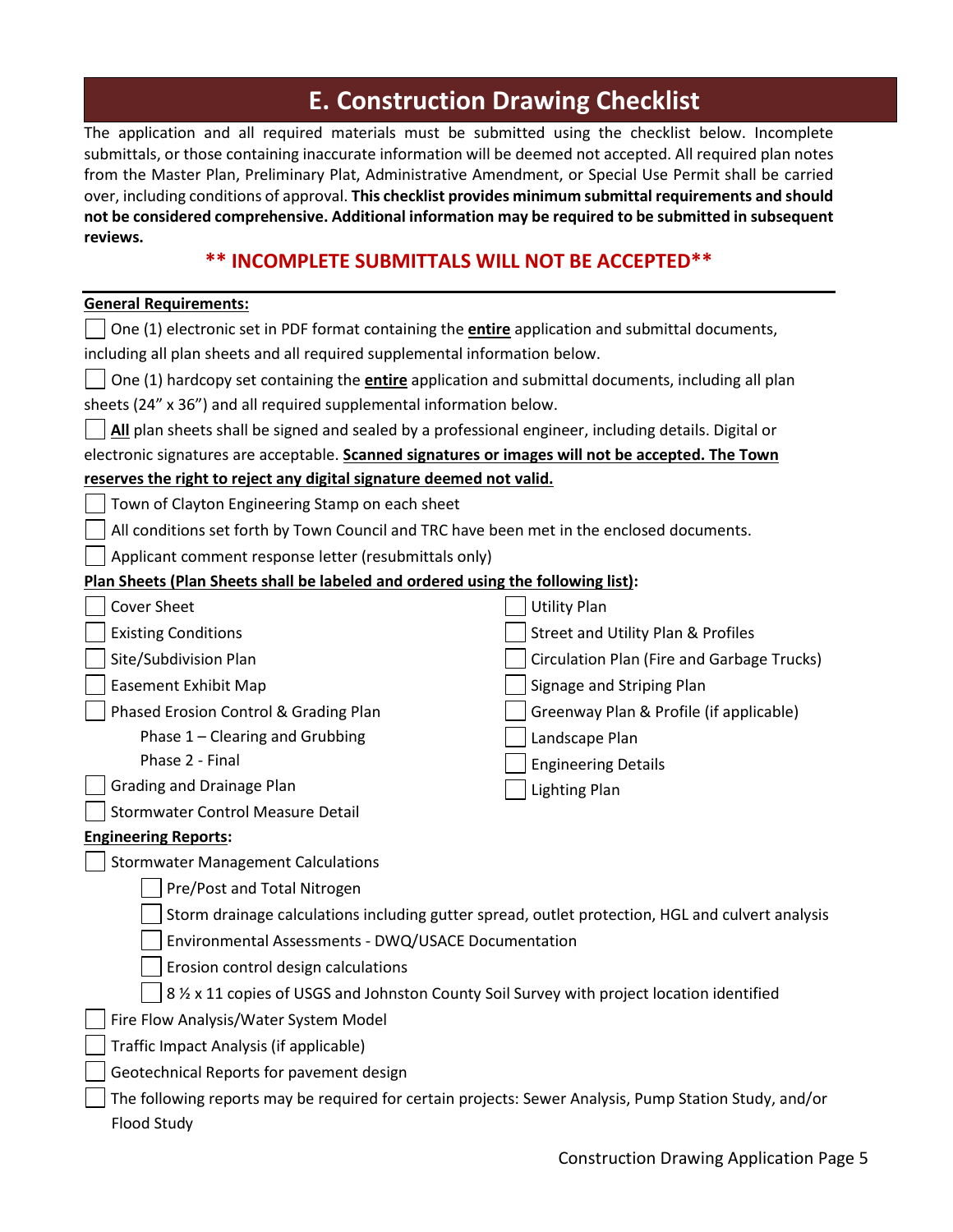## **E. Construction Drawing Checklist**

The application and all required materials must be submitted using the checklist below. Incomplete submittals, or those containing inaccurate information will be deemed not accepted. All required plan notes from the Master Plan, Preliminary Plat, Administrative Amendment, or Special Use Permit shall be carried over, including conditions of approval. **This checklist provides minimum submittal requirements and should not be considered comprehensive. Additional information may be required to be submitted in subsequent reviews.**

### **\*\* INCOMPLETE SUBMITTALS WILL NOT BE ACCEPTED\*\***

| <b>General Requirements:</b>                                                                              |                                            |  |  |  |
|-----------------------------------------------------------------------------------------------------------|--------------------------------------------|--|--|--|
| One (1) electronic set in PDF format containing the entire application and submittal documents,           |                                            |  |  |  |
| including all plan sheets and all required supplemental information below.                                |                                            |  |  |  |
| One (1) hardcopy set containing the <i>entire</i> application and submittal documents, including all plan |                                            |  |  |  |
| sheets (24" x 36") and all required supplemental information below.                                       |                                            |  |  |  |
| All plan sheets shall be signed and sealed by a professional engineer, including details. Digital or      |                                            |  |  |  |
| electronic signatures are acceptable. Scanned signatures or images will not be accepted. The Town         |                                            |  |  |  |
| reserves the right to reject any digital signature deemed not valid.                                      |                                            |  |  |  |
| Town of Clayton Engineering Stamp on each sheet                                                           |                                            |  |  |  |
| All conditions set forth by Town Council and TRC have been met in the enclosed documents.                 |                                            |  |  |  |
| Applicant comment response letter (resubmittals only)                                                     |                                            |  |  |  |
| Plan Sheets (Plan Sheets shall be labeled and ordered using the following list):                          |                                            |  |  |  |
| <b>Cover Sheet</b>                                                                                        | <b>Utility Plan</b>                        |  |  |  |
| <b>Existing Conditions</b>                                                                                | Street and Utility Plan & Profiles         |  |  |  |
| Site/Subdivision Plan                                                                                     | Circulation Plan (Fire and Garbage Trucks) |  |  |  |
| <b>Easement Exhibit Map</b>                                                                               | Signage and Striping Plan                  |  |  |  |
| Phased Erosion Control & Grading Plan                                                                     | Greenway Plan & Profile (if applicable)    |  |  |  |
| Phase 1 - Clearing and Grubbing                                                                           | Landscape Plan                             |  |  |  |
| Phase 2 - Final                                                                                           | <b>Engineering Details</b>                 |  |  |  |
| Grading and Drainage Plan                                                                                 | <b>Lighting Plan</b>                       |  |  |  |
| <b>Stormwater Control Measure Detail</b>                                                                  |                                            |  |  |  |
| <b>Engineering Reports:</b>                                                                               |                                            |  |  |  |
| <b>Stormwater Management Calculations</b>                                                                 |                                            |  |  |  |
| Pre/Post and Total Nitrogen                                                                               |                                            |  |  |  |
| Storm drainage calculations including gutter spread, outlet protection, HGL and culvert analysis          |                                            |  |  |  |
| Environmental Assessments - DWQ/USACE Documentation                                                       |                                            |  |  |  |
| Erosion control design calculations                                                                       |                                            |  |  |  |
| 8 % x 11 copies of USGS and Johnston County Soil Survey with project location identified                  |                                            |  |  |  |
| Fire Flow Analysis/Water System Model                                                                     |                                            |  |  |  |
|                                                                                                           |                                            |  |  |  |
| Traffic Impact Analysis (if applicable)                                                                   |                                            |  |  |  |
| Geotechnical Reports for pavement design                                                                  |                                            |  |  |  |
| The following reports may be required for certain projects: Sewer Analysis, Pump Station Study, and/or    |                                            |  |  |  |
| Flood Study                                                                                               |                                            |  |  |  |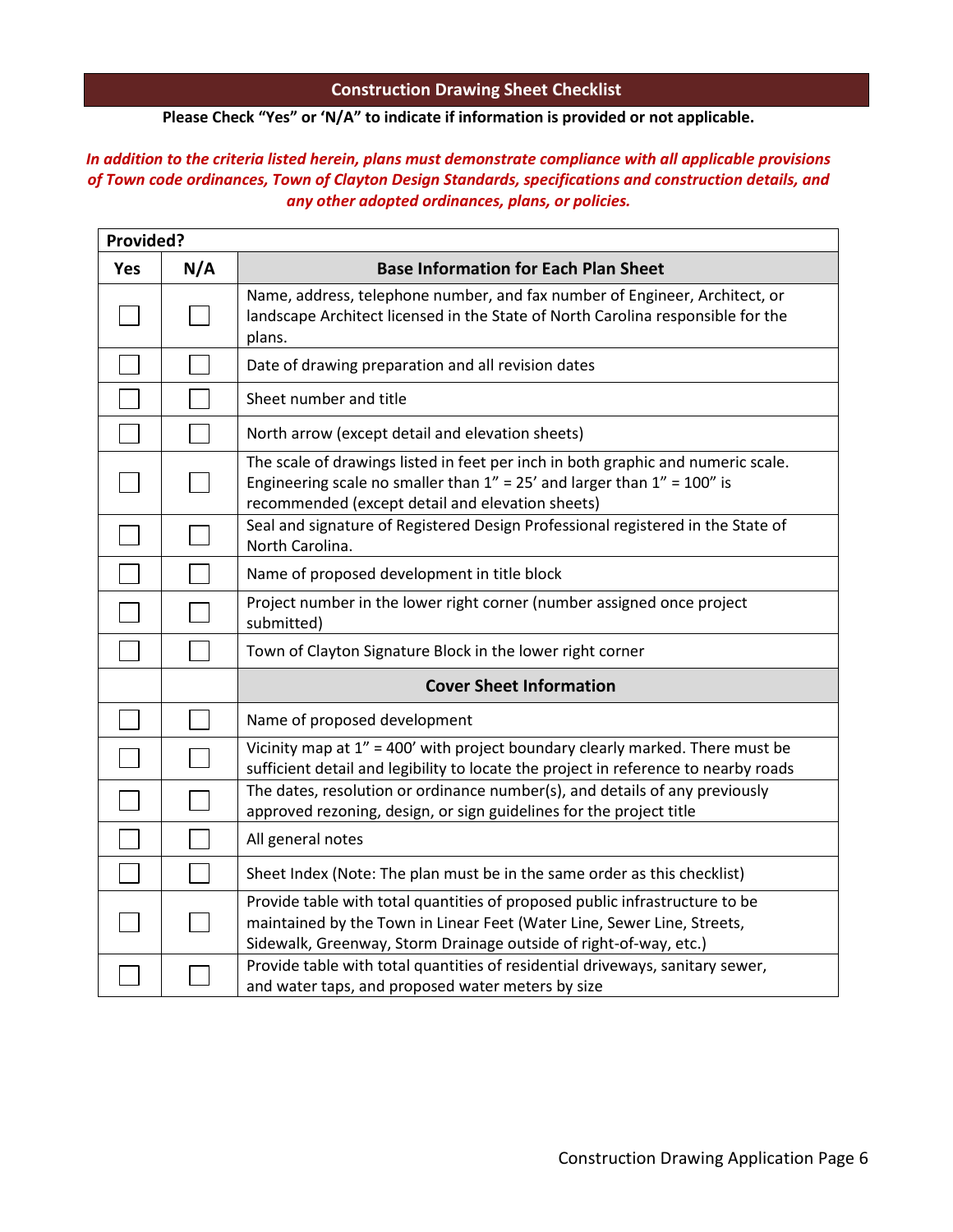#### **Construction Drawing Sheet Checklist**

### **Please Check "Yes" or 'N/A" to indicate if information is provided or not applicable.**

### *In addition to the criteria listed herein, plans must demonstrate compliance with all applicable provisions of Town code ordinances, Town of Clayton Design Standards, specifications and construction details, and any other adopted ordinances, plans, or policies.*

| Provided? |     |                                                                                                                                                                                                                             |
|-----------|-----|-----------------------------------------------------------------------------------------------------------------------------------------------------------------------------------------------------------------------------|
| Yes       | N/A | <b>Base Information for Each Plan Sheet</b>                                                                                                                                                                                 |
|           |     | Name, address, telephone number, and fax number of Engineer, Architect, or<br>landscape Architect licensed in the State of North Carolina responsible for the<br>plans.                                                     |
|           |     | Date of drawing preparation and all revision dates                                                                                                                                                                          |
|           |     | Sheet number and title                                                                                                                                                                                                      |
|           |     | North arrow (except detail and elevation sheets)                                                                                                                                                                            |
|           |     | The scale of drawings listed in feet per inch in both graphic and numeric scale.<br>Engineering scale no smaller than $1'' = 25'$ and larger than $1'' = 100''$ is<br>recommended (except detail and elevation sheets)      |
|           |     | Seal and signature of Registered Design Professional registered in the State of<br>North Carolina.                                                                                                                          |
|           |     | Name of proposed development in title block                                                                                                                                                                                 |
|           |     | Project number in the lower right corner (number assigned once project<br>submitted)                                                                                                                                        |
|           |     | Town of Clayton Signature Block in the lower right corner                                                                                                                                                                   |
|           |     | <b>Cover Sheet Information</b>                                                                                                                                                                                              |
|           |     | Name of proposed development                                                                                                                                                                                                |
|           |     | Vicinity map at 1" = 400' with project boundary clearly marked. There must be<br>sufficient detail and legibility to locate the project in reference to nearby roads                                                        |
|           |     | The dates, resolution or ordinance number(s), and details of any previously<br>approved rezoning, design, or sign guidelines for the project title                                                                          |
|           |     | All general notes                                                                                                                                                                                                           |
|           |     | Sheet Index (Note: The plan must be in the same order as this checklist)                                                                                                                                                    |
|           |     | Provide table with total quantities of proposed public infrastructure to be<br>maintained by the Town in Linear Feet (Water Line, Sewer Line, Streets,<br>Sidewalk, Greenway, Storm Drainage outside of right-of-way, etc.) |
|           |     | Provide table with total quantities of residential driveways, sanitary sewer,<br>and water taps, and proposed water meters by size                                                                                          |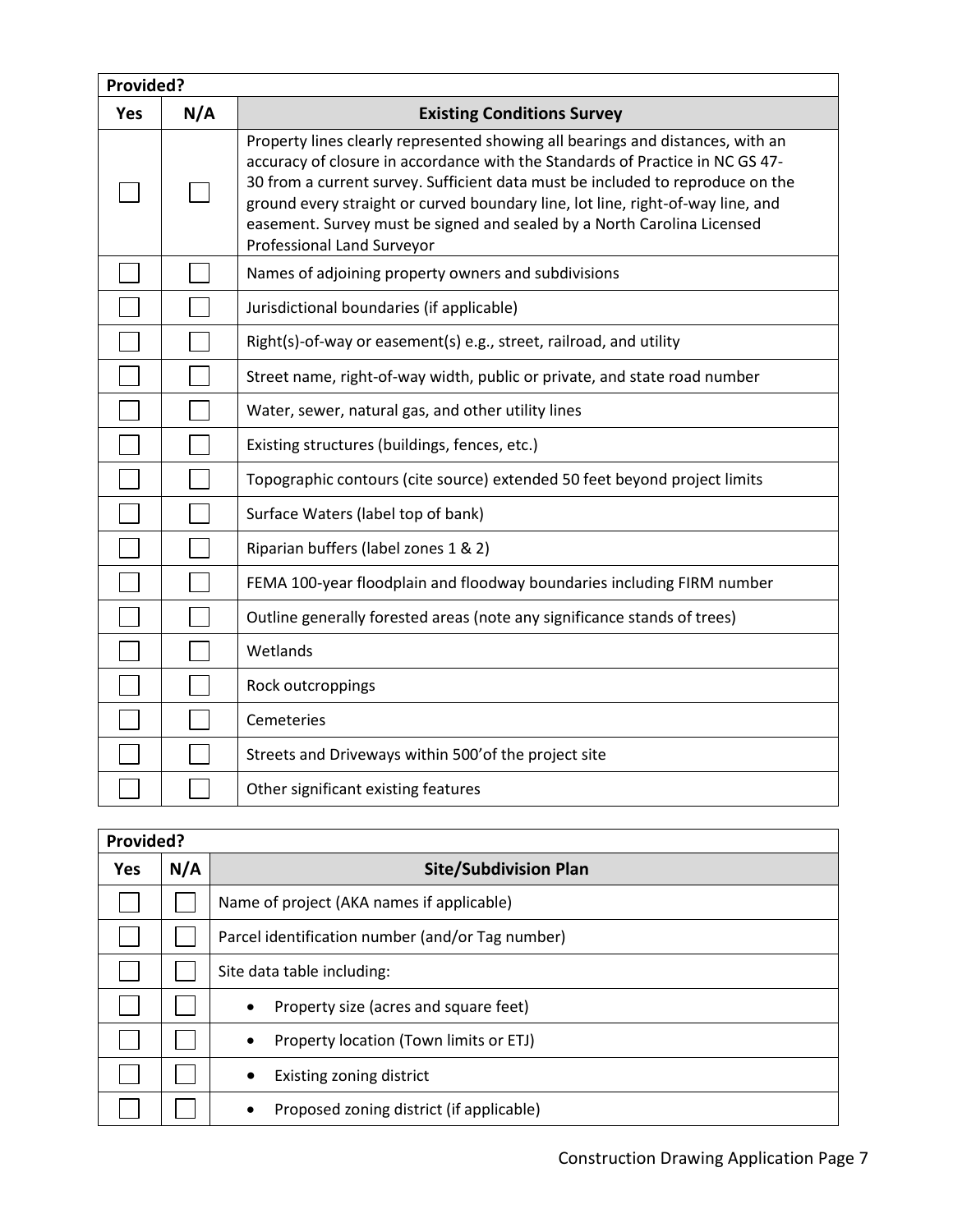| Provided? |     |                                                                                                                                                                                                                                                                                                                                                                                                                                               |
|-----------|-----|-----------------------------------------------------------------------------------------------------------------------------------------------------------------------------------------------------------------------------------------------------------------------------------------------------------------------------------------------------------------------------------------------------------------------------------------------|
| Yes       | N/A | <b>Existing Conditions Survey</b>                                                                                                                                                                                                                                                                                                                                                                                                             |
|           |     | Property lines clearly represented showing all bearings and distances, with an<br>accuracy of closure in accordance with the Standards of Practice in NC GS 47-<br>30 from a current survey. Sufficient data must be included to reproduce on the<br>ground every straight or curved boundary line, lot line, right-of-way line, and<br>easement. Survey must be signed and sealed by a North Carolina Licensed<br>Professional Land Surveyor |
|           |     | Names of adjoining property owners and subdivisions                                                                                                                                                                                                                                                                                                                                                                                           |
|           |     | Jurisdictional boundaries (if applicable)                                                                                                                                                                                                                                                                                                                                                                                                     |
|           |     | Right(s)-of-way or easement(s) e.g., street, railroad, and utility                                                                                                                                                                                                                                                                                                                                                                            |
|           |     | Street name, right-of-way width, public or private, and state road number                                                                                                                                                                                                                                                                                                                                                                     |
|           |     | Water, sewer, natural gas, and other utility lines                                                                                                                                                                                                                                                                                                                                                                                            |
|           |     | Existing structures (buildings, fences, etc.)                                                                                                                                                                                                                                                                                                                                                                                                 |
|           |     | Topographic contours (cite source) extended 50 feet beyond project limits                                                                                                                                                                                                                                                                                                                                                                     |
|           |     | Surface Waters (label top of bank)                                                                                                                                                                                                                                                                                                                                                                                                            |
|           |     | Riparian buffers (label zones 1 & 2)                                                                                                                                                                                                                                                                                                                                                                                                          |
|           |     | FEMA 100-year floodplain and floodway boundaries including FIRM number                                                                                                                                                                                                                                                                                                                                                                        |
|           |     | Outline generally forested areas (note any significance stands of trees)                                                                                                                                                                                                                                                                                                                                                                      |
|           |     | Wetlands                                                                                                                                                                                                                                                                                                                                                                                                                                      |
|           |     | Rock outcroppings                                                                                                                                                                                                                                                                                                                                                                                                                             |
|           |     | Cemeteries                                                                                                                                                                                                                                                                                                                                                                                                                                    |
|           |     | Streets and Driveways within 500' of the project site                                                                                                                                                                                                                                                                                                                                                                                         |
|           |     | Other significant existing features                                                                                                                                                                                                                                                                                                                                                                                                           |

| Provided?  |     |                                                       |
|------------|-----|-------------------------------------------------------|
| <b>Yes</b> | N/A | <b>Site/Subdivision Plan</b>                          |
|            |     | Name of project (AKA names if applicable)             |
|            |     | Parcel identification number (and/or Tag number)      |
|            |     | Site data table including:                            |
|            |     | Property size (acres and square feet)<br>$\bullet$    |
|            |     | Property location (Town limits or ETJ)<br>$\bullet$   |
|            |     | Existing zoning district<br>$\bullet$                 |
|            |     | Proposed zoning district (if applicable)<br>$\bullet$ |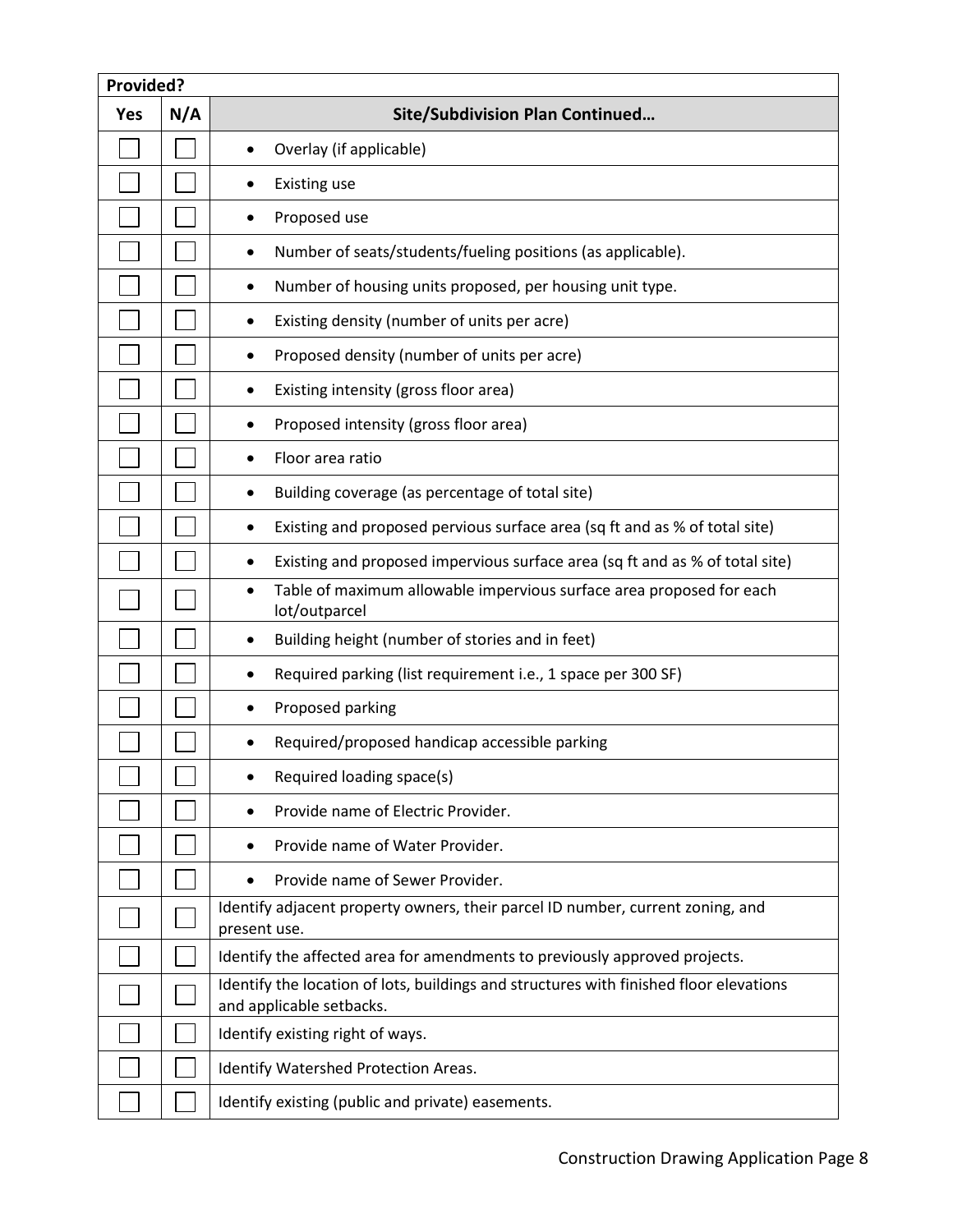| Provided?  |     |                                                                                                                    |
|------------|-----|--------------------------------------------------------------------------------------------------------------------|
| <b>Yes</b> | N/A | <b>Site/Subdivision Plan Continued</b>                                                                             |
|            |     | Overlay (if applicable)                                                                                            |
|            |     | <b>Existing use</b>                                                                                                |
|            |     | Proposed use                                                                                                       |
|            |     | Number of seats/students/fueling positions (as applicable).<br>٠                                                   |
|            |     | Number of housing units proposed, per housing unit type.<br>٠                                                      |
|            |     | Existing density (number of units per acre)<br>$\bullet$                                                           |
|            |     | Proposed density (number of units per acre)<br>٠                                                                   |
|            |     | Existing intensity (gross floor area)<br>٠                                                                         |
|            |     | Proposed intensity (gross floor area)                                                                              |
|            |     | Floor area ratio<br>$\bullet$                                                                                      |
|            |     | Building coverage (as percentage of total site)<br>$\bullet$                                                       |
|            |     | Existing and proposed pervious surface area (sq ft and as % of total site)<br>٠                                    |
|            |     | Existing and proposed impervious surface area (sq ft and as % of total site)<br>٠                                  |
|            |     | Table of maximum allowable impervious surface area proposed for each<br>٠<br>lot/outparcel                         |
|            |     | Building height (number of stories and in feet)<br>٠                                                               |
|            |     | Required parking (list requirement i.e., 1 space per 300 SF)<br>٠                                                  |
|            |     | Proposed parking                                                                                                   |
|            |     | Required/proposed handicap accessible parking                                                                      |
|            |     | Required loading space(s)                                                                                          |
|            |     | Provide name of Electric Provider.                                                                                 |
|            |     | Provide name of Water Provider.                                                                                    |
|            |     | Provide name of Sewer Provider.                                                                                    |
|            |     | Identify adjacent property owners, their parcel ID number, current zoning, and<br>present use.                     |
|            |     | Identify the affected area for amendments to previously approved projects.                                         |
|            |     | Identify the location of lots, buildings and structures with finished floor elevations<br>and applicable setbacks. |
|            |     | Identify existing right of ways.                                                                                   |
|            |     | Identify Watershed Protection Areas.                                                                               |
|            |     | Identify existing (public and private) easements.                                                                  |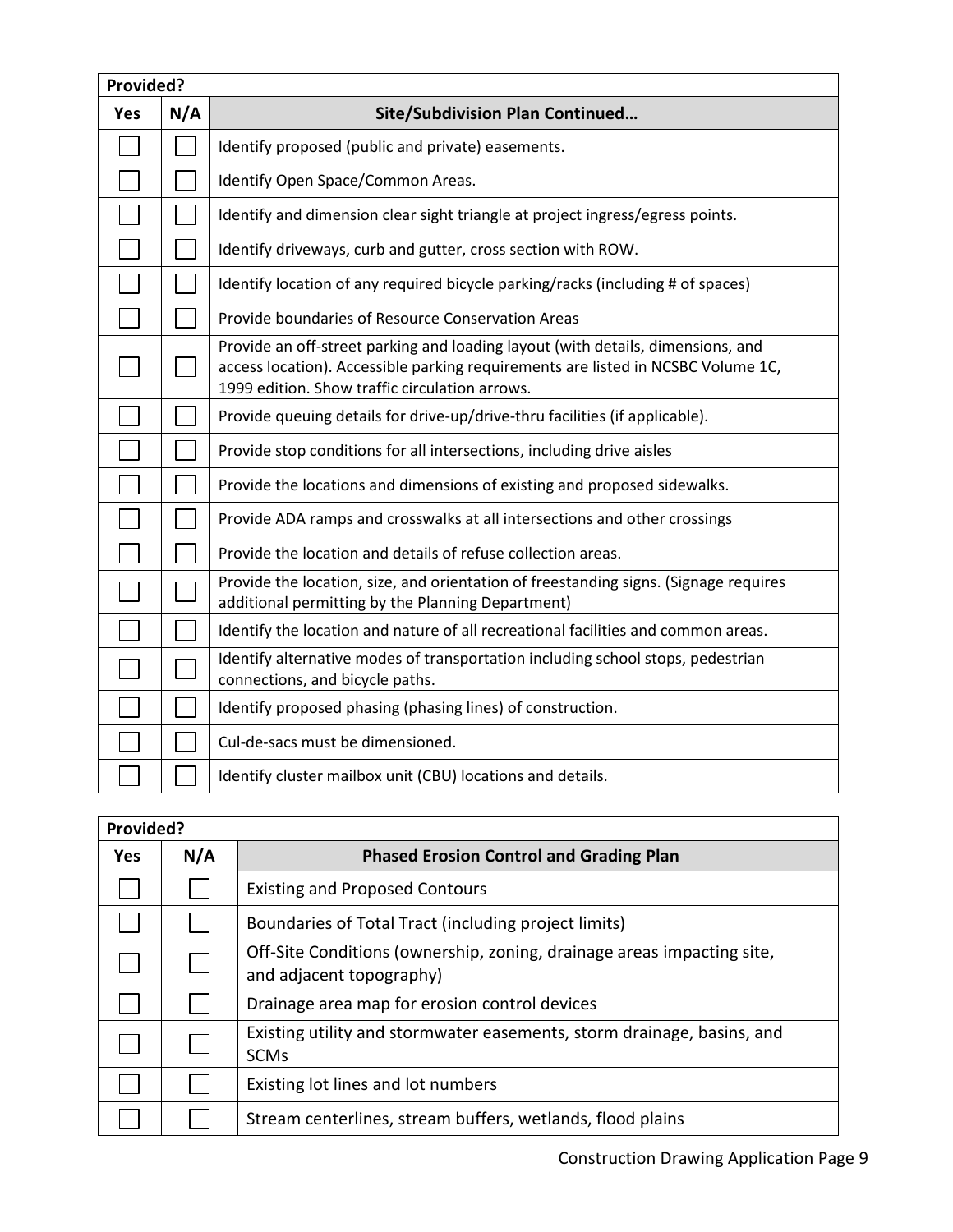| Provided? |     |                                                                                                                                                                                                                       |
|-----------|-----|-----------------------------------------------------------------------------------------------------------------------------------------------------------------------------------------------------------------------|
| Yes       | N/A | <b>Site/Subdivision Plan Continued</b>                                                                                                                                                                                |
|           |     | Identify proposed (public and private) easements.                                                                                                                                                                     |
|           |     | Identify Open Space/Common Areas.                                                                                                                                                                                     |
|           |     | Identify and dimension clear sight triangle at project ingress/egress points.                                                                                                                                         |
|           |     | Identify driveways, curb and gutter, cross section with ROW.                                                                                                                                                          |
|           |     | Identify location of any required bicycle parking/racks (including # of spaces)                                                                                                                                       |
|           |     | Provide boundaries of Resource Conservation Areas                                                                                                                                                                     |
|           |     | Provide an off-street parking and loading layout (with details, dimensions, and<br>access location). Accessible parking requirements are listed in NCSBC Volume 1C,<br>1999 edition. Show traffic circulation arrows. |
|           |     | Provide queuing details for drive-up/drive-thru facilities (if applicable).                                                                                                                                           |
|           |     | Provide stop conditions for all intersections, including drive aisles                                                                                                                                                 |
|           |     | Provide the locations and dimensions of existing and proposed sidewalks.                                                                                                                                              |
|           |     | Provide ADA ramps and crosswalks at all intersections and other crossings                                                                                                                                             |
|           |     | Provide the location and details of refuse collection areas.                                                                                                                                                          |
|           |     | Provide the location, size, and orientation of freestanding signs. (Signage requires<br>additional permitting by the Planning Department)                                                                             |
|           |     | Identify the location and nature of all recreational facilities and common areas.                                                                                                                                     |
|           |     | Identify alternative modes of transportation including school stops, pedestrian<br>connections, and bicycle paths.                                                                                                    |
|           |     | Identify proposed phasing (phasing lines) of construction.                                                                                                                                                            |
|           |     | Cul-de-sacs must be dimensioned.                                                                                                                                                                                      |
|           |     | Identify cluster mailbox unit (CBU) locations and details.                                                                                                                                                            |
|           |     |                                                                                                                                                                                                                       |

| Provided?  |     |                                                                                                    |
|------------|-----|----------------------------------------------------------------------------------------------------|
| <b>Yes</b> | N/A | <b>Phased Erosion Control and Grading Plan</b>                                                     |
|            |     | <b>Existing and Proposed Contours</b>                                                              |
|            |     | Boundaries of Total Tract (including project limits)                                               |
|            |     | Off-Site Conditions (ownership, zoning, drainage areas impacting site,<br>and adjacent topography) |
|            |     | Drainage area map for erosion control devices                                                      |
|            |     | Existing utility and stormwater easements, storm drainage, basins, and<br><b>SCMs</b>              |
|            |     | Existing lot lines and lot numbers                                                                 |
|            |     | Stream centerlines, stream buffers, wetlands, flood plains                                         |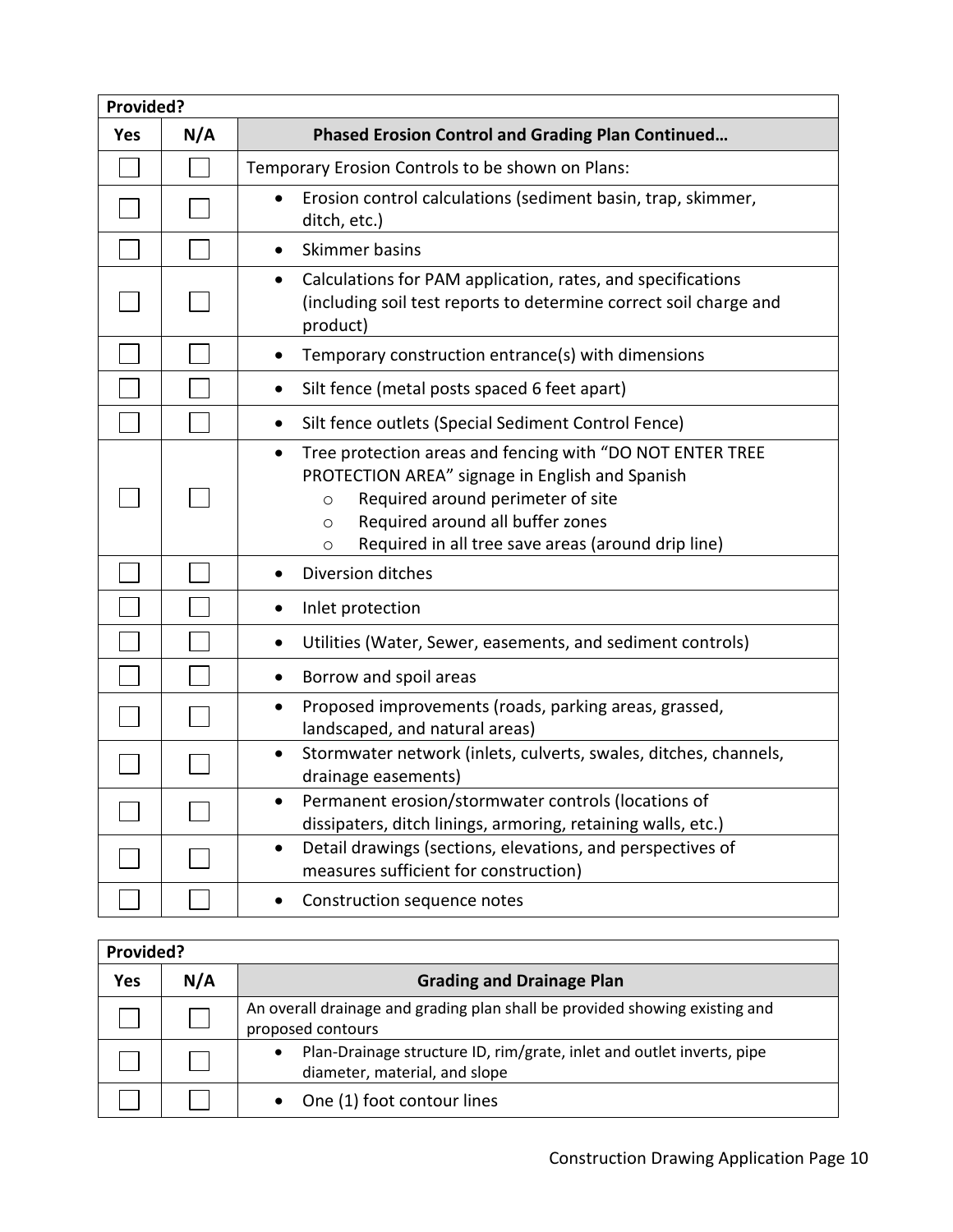| Provided?  |     |                                                                                                                                                                                                                                                                                     |
|------------|-----|-------------------------------------------------------------------------------------------------------------------------------------------------------------------------------------------------------------------------------------------------------------------------------------|
| <b>Yes</b> | N/A | <b>Phased Erosion Control and Grading Plan Continued</b>                                                                                                                                                                                                                            |
|            |     | Temporary Erosion Controls to be shown on Plans:                                                                                                                                                                                                                                    |
|            |     | Erosion control calculations (sediment basin, trap, skimmer,<br>$\bullet$<br>ditch, etc.)                                                                                                                                                                                           |
|            |     | Skimmer basins<br>$\bullet$                                                                                                                                                                                                                                                         |
|            |     | Calculations for PAM application, rates, and specifications<br>$\bullet$<br>(including soil test reports to determine correct soil charge and<br>product)                                                                                                                           |
|            |     | Temporary construction entrance(s) with dimensions<br>٠                                                                                                                                                                                                                             |
|            |     | Silt fence (metal posts spaced 6 feet apart)<br>٠                                                                                                                                                                                                                                   |
|            |     | Silt fence outlets (Special Sediment Control Fence)<br>$\bullet$                                                                                                                                                                                                                    |
|            |     | Tree protection areas and fencing with "DO NOT ENTER TREE<br>$\bullet$<br>PROTECTION AREA" signage in English and Spanish<br>Required around perimeter of site<br>$\circ$<br>Required around all buffer zones<br>$\circ$<br>Required in all tree save areas (around drip line)<br>O |
|            |     | Diversion ditches                                                                                                                                                                                                                                                                   |
|            |     | Inlet protection<br>٠                                                                                                                                                                                                                                                               |
|            |     | Utilities (Water, Sewer, easements, and sediment controls)<br>$\bullet$                                                                                                                                                                                                             |
|            |     | Borrow and spoil areas<br>$\bullet$                                                                                                                                                                                                                                                 |
|            |     | Proposed improvements (roads, parking areas, grassed,<br>$\bullet$<br>landscaped, and natural areas)                                                                                                                                                                                |
|            |     | Stormwater network (inlets, culverts, swales, ditches, channels,<br>$\bullet$<br>drainage easements)                                                                                                                                                                                |
|            |     | Permanent erosion/stormwater controls (locations of<br>dissipaters, ditch linings, armoring, retaining walls, etc.)                                                                                                                                                                 |
|            |     | Detail drawings (sections, elevations, and perspectives of<br>$\bullet$<br>measures sufficient for construction)                                                                                                                                                                    |
|            |     | Construction sequence notes                                                                                                                                                                                                                                                         |

| Provided?  |     |                                                                                                        |  |
|------------|-----|--------------------------------------------------------------------------------------------------------|--|
| <b>Yes</b> | N/A | <b>Grading and Drainage Plan</b>                                                                       |  |
|            |     | An overall drainage and grading plan shall be provided showing existing and<br>proposed contours       |  |
|            |     | Plan-Drainage structure ID, rim/grate, inlet and outlet inverts, pipe<br>diameter, material, and slope |  |
|            |     | One (1) foot contour lines                                                                             |  |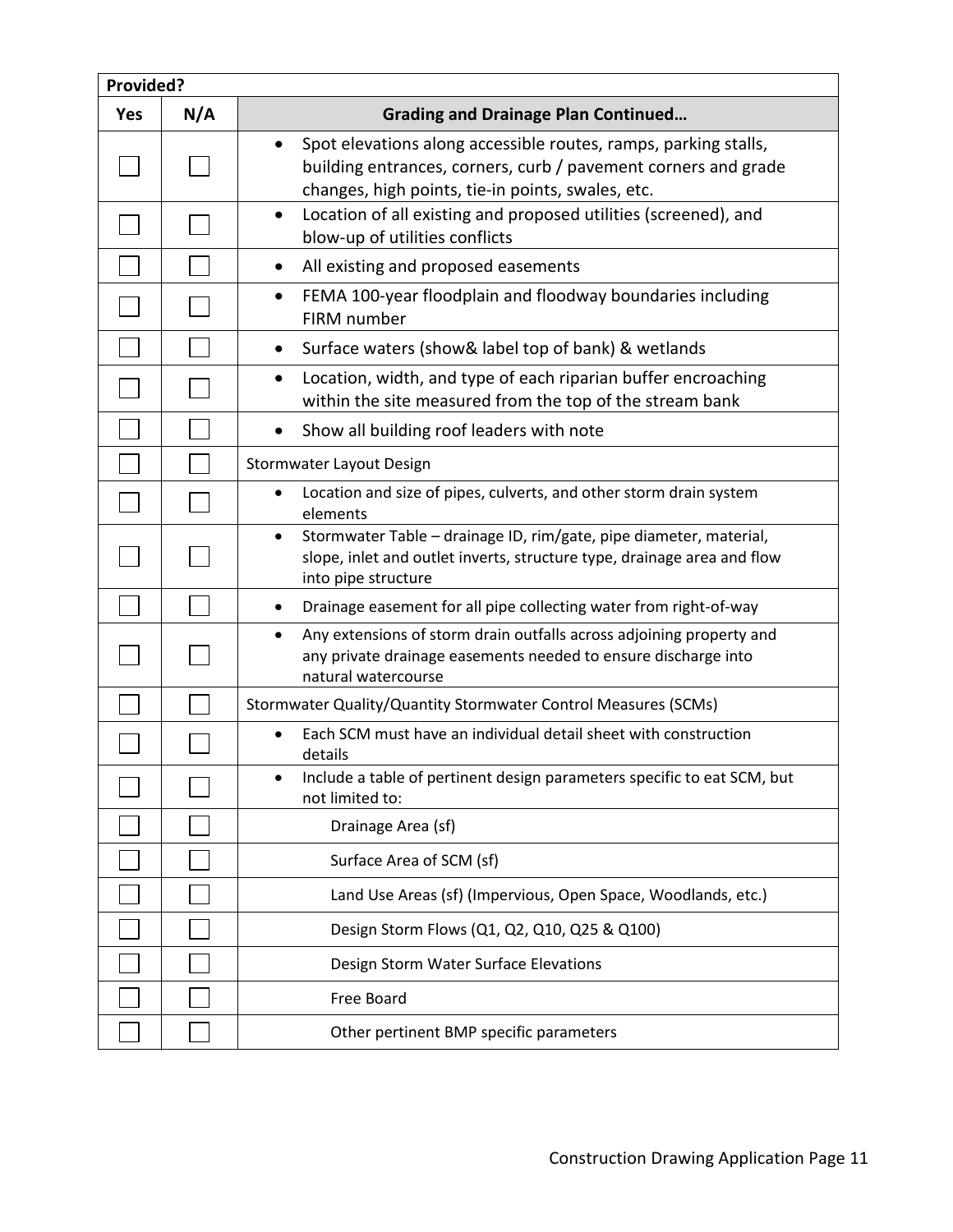| Provided?  |     |                                                                                                                                                                                                     |
|------------|-----|-----------------------------------------------------------------------------------------------------------------------------------------------------------------------------------------------------|
| <b>Yes</b> | N/A | <b>Grading and Drainage Plan Continued</b>                                                                                                                                                          |
|            |     | Spot elevations along accessible routes, ramps, parking stalls,<br>$\bullet$<br>building entrances, corners, curb / pavement corners and grade<br>changes, high points, tie-in points, swales, etc. |
|            |     | Location of all existing and proposed utilities (screened), and<br>$\bullet$<br>blow-up of utilities conflicts                                                                                      |
|            |     | All existing and proposed easements<br>$\bullet$                                                                                                                                                    |
|            |     | FEMA 100-year floodplain and floodway boundaries including<br>$\bullet$<br>FIRM number                                                                                                              |
|            |     | Surface waters (show& label top of bank) & wetlands<br>$\bullet$                                                                                                                                    |
|            |     | Location, width, and type of each riparian buffer encroaching<br>$\bullet$<br>within the site measured from the top of the stream bank                                                              |
|            |     | Show all building roof leaders with note<br>$\bullet$                                                                                                                                               |
|            |     | Stormwater Layout Design                                                                                                                                                                            |
|            |     | Location and size of pipes, culverts, and other storm drain system<br>$\bullet$<br>elements                                                                                                         |
|            |     | Stormwater Table - drainage ID, rim/gate, pipe diameter, material,<br>$\bullet$<br>slope, inlet and outlet inverts, structure type, drainage area and flow<br>into pipe structure                   |
|            |     | Drainage easement for all pipe collecting water from right-of-way<br>$\bullet$                                                                                                                      |
|            |     | Any extensions of storm drain outfalls across adjoining property and<br>$\bullet$<br>any private drainage easements needed to ensure discharge into<br>natural watercourse                          |
|            |     | Stormwater Quality/Quantity Stormwater Control Measures (SCMs)                                                                                                                                      |
|            |     | Each SCM must have an individual detail sheet with construction<br>details                                                                                                                          |
|            |     | Include a table of pertinent design parameters specific to eat SCM, but<br>not limited to:                                                                                                          |
|            |     | Drainage Area (sf)                                                                                                                                                                                  |
|            |     | Surface Area of SCM (sf)                                                                                                                                                                            |
|            |     | Land Use Areas (sf) (Impervious, Open Space, Woodlands, etc.)                                                                                                                                       |
|            |     | Design Storm Flows (Q1, Q2, Q10, Q25 & Q100)                                                                                                                                                        |
|            |     | Design Storm Water Surface Elevations                                                                                                                                                               |
|            |     | Free Board                                                                                                                                                                                          |
|            |     | Other pertinent BMP specific parameters                                                                                                                                                             |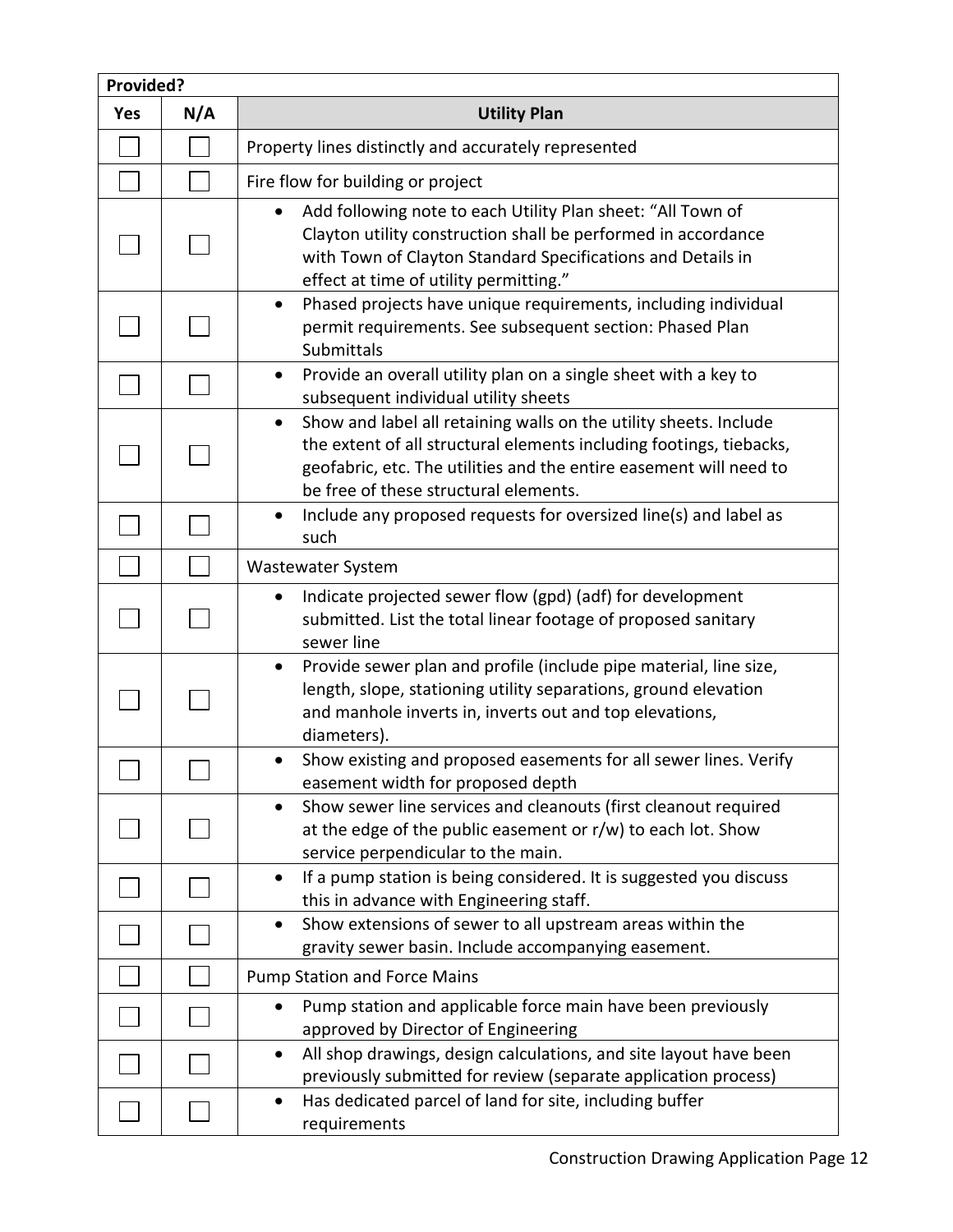| Provided?  |     |                                                                                                                                                                                                                                                                      |
|------------|-----|----------------------------------------------------------------------------------------------------------------------------------------------------------------------------------------------------------------------------------------------------------------------|
| <b>Yes</b> | N/A | <b>Utility Plan</b>                                                                                                                                                                                                                                                  |
|            |     | Property lines distinctly and accurately represented                                                                                                                                                                                                                 |
|            |     | Fire flow for building or project                                                                                                                                                                                                                                    |
|            |     | Add following note to each Utility Plan sheet: "All Town of<br>Clayton utility construction shall be performed in accordance<br>with Town of Clayton Standard Specifications and Details in<br>effect at time of utility permitting."                                |
|            |     | Phased projects have unique requirements, including individual<br>٠<br>permit requirements. See subsequent section: Phased Plan<br>Submittals                                                                                                                        |
|            |     | Provide an overall utility plan on a single sheet with a key to<br>$\bullet$<br>subsequent individual utility sheets                                                                                                                                                 |
|            |     | Show and label all retaining walls on the utility sheets. Include<br>$\bullet$<br>the extent of all structural elements including footings, tiebacks,<br>geofabric, etc. The utilities and the entire easement will need to<br>be free of these structural elements. |
|            |     | Include any proposed requests for oversized line(s) and label as<br>$\bullet$<br>such                                                                                                                                                                                |
|            |     | <b>Wastewater System</b>                                                                                                                                                                                                                                             |
|            |     | Indicate projected sewer flow (gpd) (adf) for development<br>٠<br>submitted. List the total linear footage of proposed sanitary<br>sewer line                                                                                                                        |
|            |     | Provide sewer plan and profile (include pipe material, line size,<br>$\bullet$<br>length, slope, stationing utility separations, ground elevation<br>and manhole inverts in, inverts out and top elevations,<br>diameters).                                          |
|            |     | Show existing and proposed easements for all sewer lines. Verify<br>easement width for proposed depth                                                                                                                                                                |
|            |     | Show sewer line services and cleanouts (first cleanout required<br>at the edge of the public easement or r/w) to each lot. Show<br>service perpendicular to the main.                                                                                                |
|            |     | If a pump station is being considered. It is suggested you discuss<br>$\bullet$<br>this in advance with Engineering staff.                                                                                                                                           |
|            |     | Show extensions of sewer to all upstream areas within the<br>$\bullet$<br>gravity sewer basin. Include accompanying easement.                                                                                                                                        |
|            |     | <b>Pump Station and Force Mains</b>                                                                                                                                                                                                                                  |
|            |     | Pump station and applicable force main have been previously<br>approved by Director of Engineering                                                                                                                                                                   |
|            |     | All shop drawings, design calculations, and site layout have been<br>٠<br>previously submitted for review (separate application process)                                                                                                                             |
|            |     | Has dedicated parcel of land for site, including buffer<br>٠<br>requirements                                                                                                                                                                                         |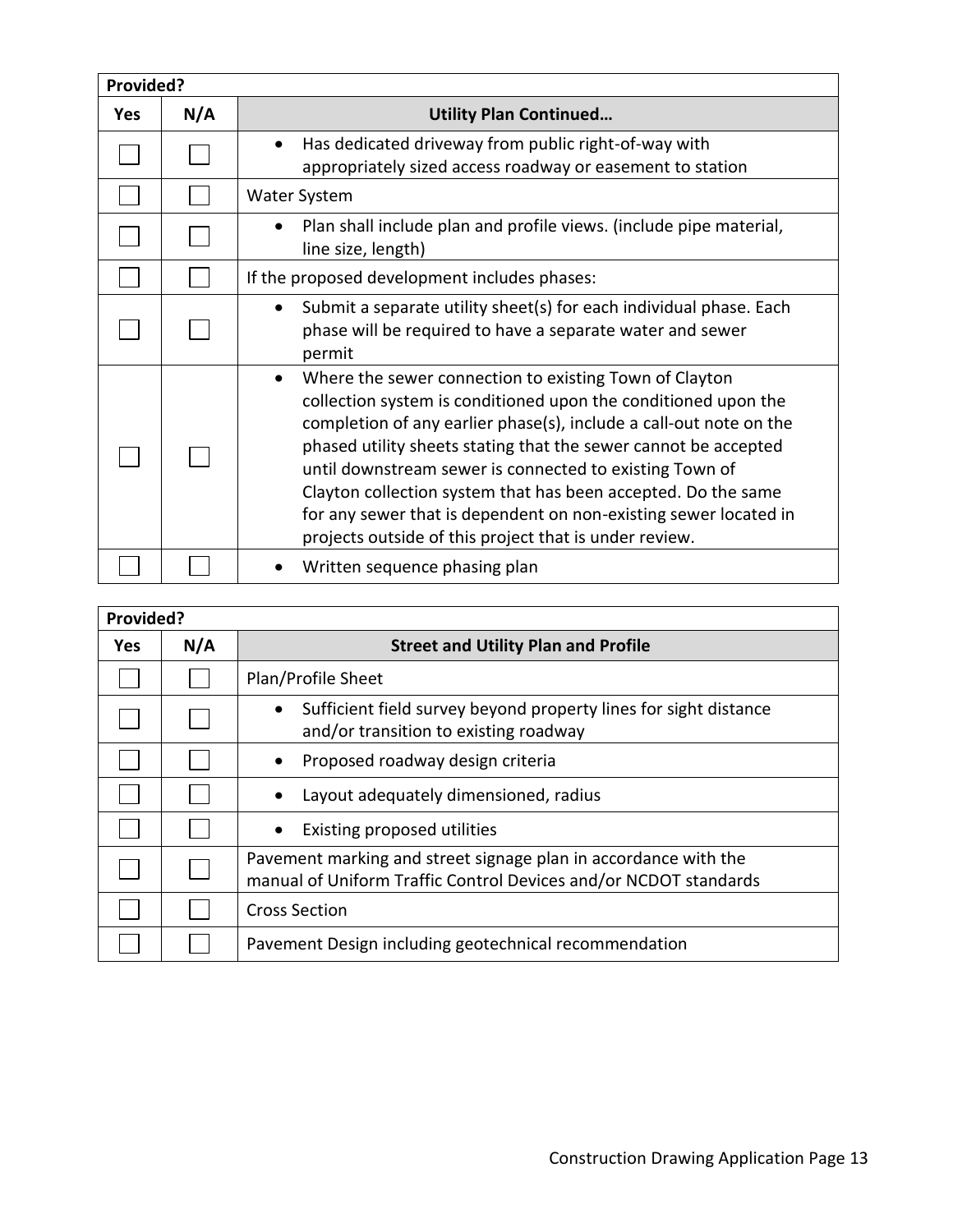| Provided?  |     |                                                                                                                                                                                                                                                                                                                                                                                                                                                                                                                             |
|------------|-----|-----------------------------------------------------------------------------------------------------------------------------------------------------------------------------------------------------------------------------------------------------------------------------------------------------------------------------------------------------------------------------------------------------------------------------------------------------------------------------------------------------------------------------|
| <b>Yes</b> | N/A | <b>Utility Plan Continued</b>                                                                                                                                                                                                                                                                                                                                                                                                                                                                                               |
|            |     | Has dedicated driveway from public right-of-way with<br>$\bullet$<br>appropriately sized access roadway or easement to station                                                                                                                                                                                                                                                                                                                                                                                              |
|            |     | Water System                                                                                                                                                                                                                                                                                                                                                                                                                                                                                                                |
|            |     | Plan shall include plan and profile views. (include pipe material,<br>line size, length)                                                                                                                                                                                                                                                                                                                                                                                                                                    |
|            |     | If the proposed development includes phases:                                                                                                                                                                                                                                                                                                                                                                                                                                                                                |
|            |     | Submit a separate utility sheet(s) for each individual phase. Each<br>phase will be required to have a separate water and sewer<br>permit                                                                                                                                                                                                                                                                                                                                                                                   |
|            |     | Where the sewer connection to existing Town of Clayton<br>collection system is conditioned upon the conditioned upon the<br>completion of any earlier phase(s), include a call-out note on the<br>phased utility sheets stating that the sewer cannot be accepted<br>until downstream sewer is connected to existing Town of<br>Clayton collection system that has been accepted. Do the same<br>for any sewer that is dependent on non-existing sewer located in<br>projects outside of this project that is under review. |
|            |     | Written sequence phasing plan                                                                                                                                                                                                                                                                                                                                                                                                                                                                                               |

| Provided?  |     |                                                                                                                                     |
|------------|-----|-------------------------------------------------------------------------------------------------------------------------------------|
| <b>Yes</b> | N/A | <b>Street and Utility Plan and Profile</b>                                                                                          |
|            |     | Plan/Profile Sheet                                                                                                                  |
|            |     | Sufficient field survey beyond property lines for sight distance<br>and/or transition to existing roadway                           |
|            |     | Proposed roadway design criteria                                                                                                    |
|            |     | Layout adequately dimensioned, radius                                                                                               |
|            |     | Existing proposed utilities                                                                                                         |
|            |     | Pavement marking and street signage plan in accordance with the<br>manual of Uniform Traffic Control Devices and/or NCDOT standards |
|            |     | <b>Cross Section</b>                                                                                                                |
|            |     | Pavement Design including geotechnical recommendation                                                                               |